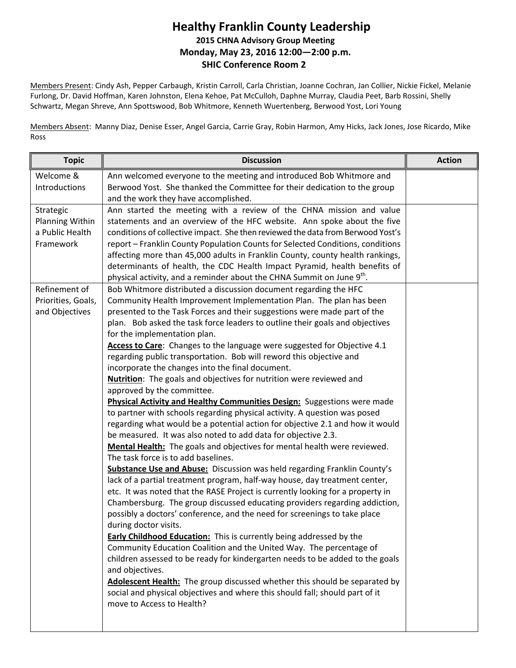## **Healthy Franklin County Leadership 2015 CHNA Advisory Group Meeting Monday, May 23, 2016 12:00—2:00 p.m. SHIC Conference Room 2**

Members Present: Cindy Ash, Pepper Carbaugh, Kristin Carroll, Carla Christian, Joanne Cochran, Jan Collier, Nickie Fickel, Melanie Furlong, Dr. David Hoffman, Karen Johnston, Elena Kehoe, Pat McCulloh, Daphne Murray, Claudia Peet, Barb Rossini, Shelly Schwartz, Megan Shreve, Ann Spottswood, Bob Whitmore, Kenneth Wuertenberg, Berwood Yost, Lori Young

Members Absent: Manny Diaz, Denise Esser, Angel Garcia, Carrie Gray, Robin Harmon, Amy Hicks, Jack Jones, Jose Ricardo, Mike Ross

| <b>Topic</b>                                                 | <b>Discussion</b>                                                                                                                                                                                                                                                                                                                                                                                                                                                                                                                                                                                                                                                                                                                                                                                                                                                                                                                                                                                                                                                                                                                                                                                                                                                                                                                                                                                                                                                                                                                                                                                                                                                                                                                                                                                                                                                                                                                                                              | <b>Action</b> |
|--------------------------------------------------------------|--------------------------------------------------------------------------------------------------------------------------------------------------------------------------------------------------------------------------------------------------------------------------------------------------------------------------------------------------------------------------------------------------------------------------------------------------------------------------------------------------------------------------------------------------------------------------------------------------------------------------------------------------------------------------------------------------------------------------------------------------------------------------------------------------------------------------------------------------------------------------------------------------------------------------------------------------------------------------------------------------------------------------------------------------------------------------------------------------------------------------------------------------------------------------------------------------------------------------------------------------------------------------------------------------------------------------------------------------------------------------------------------------------------------------------------------------------------------------------------------------------------------------------------------------------------------------------------------------------------------------------------------------------------------------------------------------------------------------------------------------------------------------------------------------------------------------------------------------------------------------------------------------------------------------------------------------------------------------------|---------------|
| Welcome &<br>Introductions                                   | Ann welcomed everyone to the meeting and introduced Bob Whitmore and<br>Berwood Yost. She thanked the Committee for their dedication to the group<br>and the work they have accomplished.                                                                                                                                                                                                                                                                                                                                                                                                                                                                                                                                                                                                                                                                                                                                                                                                                                                                                                                                                                                                                                                                                                                                                                                                                                                                                                                                                                                                                                                                                                                                                                                                                                                                                                                                                                                      |               |
| Strategic<br>Planning Within<br>a Public Health<br>Framework | Ann started the meeting with a review of the CHNA mission and value<br>statements and an overview of the HFC website. Ann spoke about the five<br>conditions of collective impact. She then reviewed the data from Berwood Yost's<br>report - Franklin County Population Counts for Selected Conditions, conditions<br>affecting more than 45,000 adults in Franklin County, county health rankings,<br>determinants of health, the CDC Health Impact Pyramid, health benefits of<br>physical activity, and a reminder about the CHNA Summit on June 9 <sup>th</sup> .                                                                                                                                                                                                                                                                                                                                                                                                                                                                                                                                                                                                                                                                                                                                                                                                                                                                                                                                                                                                                                                                                                                                                                                                                                                                                                                                                                                                         |               |
| Refinement of<br>Priorities, Goals,<br>and Objectives        | Bob Whitmore distributed a discussion document regarding the HFC<br>Community Health Improvement Implementation Plan. The plan has been<br>presented to the Task Forces and their suggestions were made part of the<br>plan. Bob asked the task force leaders to outline their goals and objectives<br>for the implementation plan.<br>Access to Care: Changes to the language were suggested for Objective 4.1<br>regarding public transportation. Bob will reword this objective and<br>incorporate the changes into the final document.<br><b>Nutrition:</b> The goals and objectives for nutrition were reviewed and<br>approved by the committee.<br>Physical Activity and Healthy Communities Design: Suggestions were made<br>to partner with schools regarding physical activity. A question was posed<br>regarding what would be a potential action for objective 2.1 and how it would<br>be measured. It was also noted to add data for objective 2.3.<br>Mental Health: The goals and objectives for mental health were reviewed.<br>The task force is to add baselines.<br><b>Substance Use and Abuse:</b> Discussion was held regarding Franklin County's<br>lack of a partial treatment program, half-way house, day treatment center,<br>etc. It was noted that the RASE Project is currently looking for a property in<br>Chambersburg. The group discussed educating providers regarding addiction,<br>possibly a doctors' conference, and the need for screenings to take place<br>during doctor visits.<br><b>Early Childhood Education:</b> This is currently being addressed by the<br>Community Education Coalition and the United Way. The percentage of<br>children assessed to be ready for kindergarten needs to be added to the goals<br>and objectives.<br>Adolescent Health: The group discussed whether this should be separated by<br>social and physical objectives and where this should fall; should part of it<br>move to Access to Health? |               |